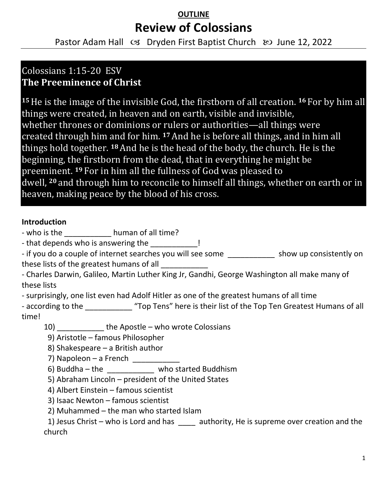## **OUTLINE Review of Colossians**

Pastor Adam Hall  $\infty$  Dryden First Baptist Church  $\infty$  June 12, 2022

## Colossians 1:15-20 ESV **The Preeminence of Christ**

**<sup>15</sup>**He is the image of the invisible God, the firstborn of all creation. **<sup>16</sup>** For by him all things were created, in heaven and on earth, visible and invisible, whether thrones or dominions or rulers or authorities—all things were created through him and for him. **<sup>17</sup>**And he is before all things, and in him all things hold together. **<sup>18</sup>**And he is the head of the body, the church. He is the beginning, the firstborn from the dead, that in everything he might be preeminent. **<sup>19</sup>** For in him all the fullness of God was pleased to dwell, **<sup>20</sup>** and through him to reconcile to himself all things, whether on earth or in heaven, making peace by the blood of his cross.

#### **Introduction**

- who is the **human of all time?** 

- that depends who is answering the \_\_\_\_\_\_\_\_\_\_\_!

- if you do a couple of internet searches you will see some \_\_\_\_\_\_\_\_\_\_\_\_\_\_\_ show up consistently on these lists of the greatest humans of all

- Charles Darwin, Galileo, Martin Luther King Jr, Gandhi, George Washington all make many of these lists

- surprisingly, one list even had Adolf Hitler as one of the greatest humans of all time

- according to the \_\_\_\_\_\_\_\_\_\_\_\_ "Top Tens" here is their list of the Top Ten Greatest Humans of all time!

10) \_\_\_\_\_\_\_\_\_\_\_ the Apostle – who wrote Colossians

9) Aristotle – famous Philosopher

8) Shakespeare – a British author

7) Napoleon – a French \_\_\_\_\_\_\_\_

6) Buddha – the  $\frac{1}{2}$  who started Buddhism

5) Abraham Lincoln – president of the United States

4) Albert Einstein – famous scientist

3) Isaac Newton – famous scientist

2) Muhammed – the man who started Islam

1) Jesus Christ – who is Lord and has \_\_\_\_\_ authority, He is supreme over creation and the church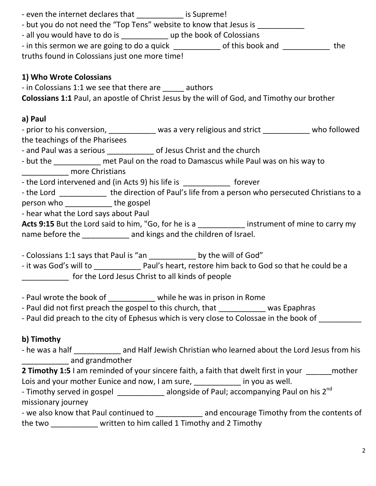| - even the internet declares that _____________ is Supreme!                                               |  |
|-----------------------------------------------------------------------------------------------------------|--|
| - but you do not need the "Top Tens" website to know that Jesus is ____________                           |  |
| - all you would have to do is _________________ up the book of Colossians                                 |  |
| - in this sermon we are going to do a quick ____________ of this book and ___________ the                 |  |
| truths found in Colossians just one more time!                                                            |  |
|                                                                                                           |  |
| 1) Who Wrote Colossians                                                                                   |  |
| - in Colossians 1:1 we see that there are ______ authors                                                  |  |
| <b>Colossians 1:1 Paul, an apostle of Christ Jesus by the will of God, and Timothy our brother</b>        |  |
|                                                                                                           |  |
| a) Paul                                                                                                   |  |
| - prior to his conversion, ____________ was a very religious and strict __________ who followed           |  |
| the teachings of the Pharisees                                                                            |  |
| - and Paul was a serious _________________ of Jesus Christ and the church                                 |  |
| - but the ____________ met Paul on the road to Damascus while Paul was on his way to                      |  |
| _______________ more Christians                                                                           |  |
| - the Lord intervened and (in Acts 9) his life is ______________ forever                                  |  |
| - the Lord _____________ the direction of Paul's life from a person who persecuted Christians to a        |  |
| person who _____________the gospel                                                                        |  |
| - hear what the Lord says about Paul                                                                      |  |
| Acts 9:15 But the Lord said to him, "Go, for he is a ____________ instrument of mine to carry my          |  |
| name before the ___________ and kings and the children of Israel.                                         |  |
|                                                                                                           |  |
| - Colossians 1:1 says that Paul is "an _____________ by the will of God"                                  |  |
| for the Lord Jesus Christ to all kinds of people                                                          |  |
|                                                                                                           |  |
| - Paul wrote the book of ____________ while he was in prison in Rome                                      |  |
| - Paul did not first preach the gospel to this church, that was Epaphras                                  |  |
| - Paul did preach to the city of Ephesus which is very close to Colossae in the book of                   |  |
|                                                                                                           |  |
| b) Timothy                                                                                                |  |
| - he was a half ______________ and Half Jewish Christian who learned about the Lord Jesus from his        |  |
| _______________ and grandmother                                                                           |  |
| <b>2 Timothy 1:5</b> I am reminded of your sincere faith, a faith that dwelt first in your _______ mother |  |
| Lois and your mother Eunice and now, I am sure, __________ in you as well.                                |  |
| - Timothy served in gospel _____________ alongside of Paul; accompanying Paul on his 2 <sup>nd</sup>      |  |
| missionary journey                                                                                        |  |
| - we also know that Paul continued to _____________ and encourage Timothy from the contents of            |  |
| the two ______________ written to him called 1 Timothy and 2 Timothy                                      |  |
|                                                                                                           |  |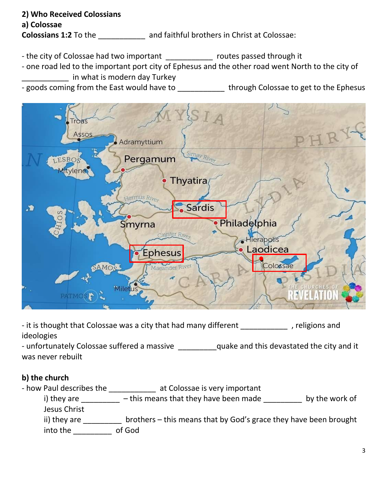# **2) Who Received Colossians a) Colossae**

**Colossians 1:2** To the **and faithful brothers in Christ at Colossae:** 

- the city of Colossae had two important \_\_\_\_\_\_\_\_\_\_\_\_\_ routes passed through it
- one road led to the important port city of Ephesus and the other road went North to the city of \_\_\_\_\_\_\_\_\_\_\_ in what is modern day Turkey
- goods coming from the East would have to **through Colossae to get to the Ephesus**



- it is thought that Colossae was a city that had many different \_\_\_\_\_\_\_\_\_\_\_\_\_, religions and ideologies

- unfortunately Colossae suffered a massive \_\_\_\_\_\_\_\_\_quake and this devastated the city and it was never rebuilt

### **b) the church**

- how Paul describes the \_\_\_\_\_\_\_\_\_\_\_ at Colossae is very important

i) they are  $\frac{1}{\sqrt{2}}$  – this means that they have been made  $\frac{1}{\sqrt{2}}$  by the work of Jesus Christ

ii) they are **Late 20** brothers – this means that by God's grace they have been brought into the \_\_\_\_\_\_\_\_\_ of God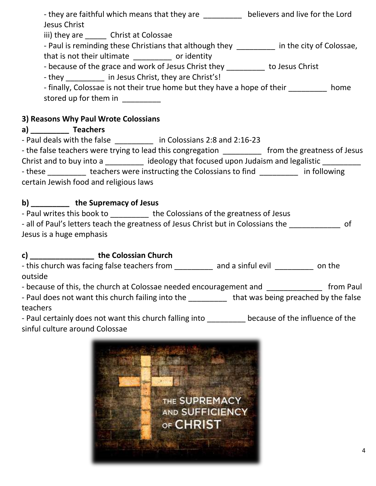| - they are faithful which means that they are ___________ believers and live for the Lord<br>Jesus Christ |
|-----------------------------------------------------------------------------------------------------------|
| iii) they are Christ at Colossae                                                                          |
| - Paul is reminding these Christians that although they ________ in the city of Colossae,                 |
| that is not their ultimate ____________ or identity                                                       |
| - because of the grace and work of Jesus Christ they __________ to Jesus Christ                           |
| - they ______________ in Jesus Christ, they are Christ's!                                                 |
| - finally, Colossae is not their true home but they have a hope of their home                             |
| stored up for them in _________                                                                           |
| 3) Reasons Why Paul Wrote Colossians                                                                      |
| a) Teachers                                                                                               |
| - Paul deals with the false ____________ in Colossians 2:8 and 2:16-23                                    |
| - the false teachers were trying to lead this congregation __________ from the greatness of Jesus         |
| Christ and to buy into a ideology that focused upon Judaism and legalistic                                |
| - these teachers were instructing the Colossians to find in following                                     |

certain Jewish food and religious laws

### **b) \_\_\_\_\_\_\_\_\_ the Supremacy of Jesus**

| - Paul writes this book to | the Colossians of the greatness of Jesus                                          |    |
|----------------------------|-----------------------------------------------------------------------------------|----|
|                            | - all of Paul's letters teach the greatness of Jesus Christ but in Colossians the | of |
| Jesus is a huge emphasis   |                                                                                   |    |

### **c) \_\_\_\_\_\_\_\_\_\_\_\_\_\_\_ the Colossian Church**

- this church was facing false teachers from \_\_\_\_\_\_\_\_\_ and a sinful evil \_\_\_\_\_\_\_\_\_ on the outside

- because of this, the church at Colossae needed encouragement and \_\_\_\_\_\_\_\_\_\_\_\_\_\_ from Paul

- Paul does not want this church failing into the \_\_\_\_\_\_\_\_\_\_ that was being preached by the false teachers

- Paul certainly does not want this church falling into \_\_\_\_\_\_\_\_\_ because of the influence of the sinful culture around Colossae

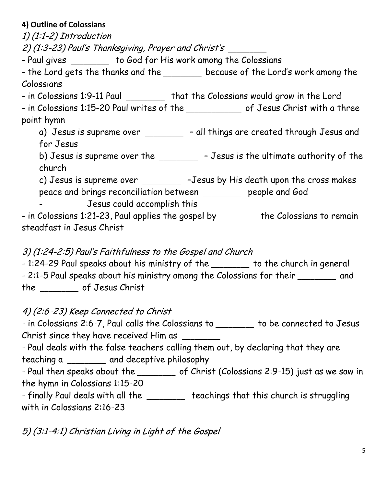### **4) Outline of Colossians**

1) (1:1-2) Introduction

2) (1:3-23) Paul's Thanksgiving, Prayer and Christ's \_\_\_\_\_\_\_

- Paul gives \_\_\_\_\_\_\_\_ to God for His work among the Colossians

- the Lord gets the thanks and the \_\_\_\_\_\_\_\_ because of the Lord's work among the Colossians

- in Colossians 1:9-11 Paul \_\_\_\_\_\_\_\_ that the Colossians would grow in the Lord

- in Colossians 1:15-20 Paul writes of the \_\_\_\_\_\_\_\_\_\_\_\_\_ of Jesus Christ with a three point hymn

a) Jesus is supreme over \_\_\_\_\_\_\_\_ - all things are created through Jesus and for Jesus

b) Jesus is supreme over the \_\_\_\_\_\_\_\_\_ – Jesus is the ultimate authority of the church

c) Jesus is supreme over \_\_\_\_\_\_\_\_ -Jesus by His death upon the cross makes

peace and brings reconciliation between \_\_\_\_\_\_\_\_\_ people and God - **Jesus could accomplish this** 

- in Colossians 1:21-23, Paul applies the gospel by \_\_\_\_\_\_\_\_\_ the Colossians to remain steadfast in Jesus Christ

3) (1:24-2:5) Paul's Faithfulness to the Gospel and Church

- 1:24-29 Paul speaks about his ministry of the substance to the church in general - 2:1-5 Paul speaks about his ministry among the Colossians for their \_\_\_\_\_\_\_ and the \_\_\_\_\_\_\_\_\_ of Jesus Christ

4) (2:6-23) Keep Connected to Christ

- in Colossians 2:6-7, Paul calls the Colossians to \_\_\_\_\_\_\_\_\_ to be connected to Jesus Christ since they have received Him as \_\_\_\_\_\_\_\_\_

- Paul deals with the false teachers calling them out, by declaring that they are teaching a \_\_\_\_\_\_\_\_\_ and deceptive philosophy

- Paul then speaks about the \_\_\_\_\_\_\_\_ of Christ (Colossians 2:9-15) just as we saw in the hymn in Colossians 1:15-20

- finally Paul deals with all the \_\_\_\_\_\_\_ teachings that this church is struggling with in Colossians 2:16-23

5) (3:1-4:1) Christian Living in Light of the Gospel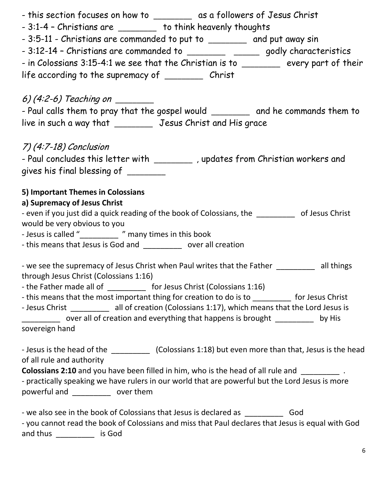| - this section focuses on how to __________ as a followers of Jesus Christ                                                                                                                                                                                                                                                                                                                                                                       |
|--------------------------------------------------------------------------------------------------------------------------------------------------------------------------------------------------------------------------------------------------------------------------------------------------------------------------------------------------------------------------------------------------------------------------------------------------|
| - 3:1-4 - Christians are ________ to think heavenly thoughts                                                                                                                                                                                                                                                                                                                                                                                     |
| - 3:5-11 - Christians are commanded to put to ________ and put away sin                                                                                                                                                                                                                                                                                                                                                                          |
| - 3:12-14 - Christians are commanded to ___________ _______ godly characteristics                                                                                                                                                                                                                                                                                                                                                                |
| - in Colossians 3:15-4:1 we see that the Christian is to ________ every part of their                                                                                                                                                                                                                                                                                                                                                            |
| life according to the supremacy of ___________ Christ                                                                                                                                                                                                                                                                                                                                                                                            |
|                                                                                                                                                                                                                                                                                                                                                                                                                                                  |
| 6) $(4:2-6)$ Teaching on ________                                                                                                                                                                                                                                                                                                                                                                                                                |
| - Paul calls them to pray that the gospel would _________ and he commands them to                                                                                                                                                                                                                                                                                                                                                                |
| live in such a way that __________ Jesus Christ and His grace                                                                                                                                                                                                                                                                                                                                                                                    |
|                                                                                                                                                                                                                                                                                                                                                                                                                                                  |
| 7) (4:7-18) Conclusion                                                                                                                                                                                                                                                                                                                                                                                                                           |
| - Paul concludes this letter with _________ , updates from Christian workers and                                                                                                                                                                                                                                                                                                                                                                 |
| gives his final blessing of _______                                                                                                                                                                                                                                                                                                                                                                                                              |
|                                                                                                                                                                                                                                                                                                                                                                                                                                                  |
| 5) Important Themes in Colossians<br>a) Supremacy of Jesus Christ                                                                                                                                                                                                                                                                                                                                                                                |
| - even if you just did a quick reading of the book of Colossians, the __________ of Jesus Christ                                                                                                                                                                                                                                                                                                                                                 |
| would be very obvious to you                                                                                                                                                                                                                                                                                                                                                                                                                     |
| - Jesus is called "__________ " many times in this book                                                                                                                                                                                                                                                                                                                                                                                          |
| - this means that Jesus is God and ____________ over all creation                                                                                                                                                                                                                                                                                                                                                                                |
|                                                                                                                                                                                                                                                                                                                                                                                                                                                  |
| - we see the supremacy of Jesus Christ when Paul writes that the Father _________ all things                                                                                                                                                                                                                                                                                                                                                     |
| through Jesus Christ (Colossians 1:16)<br>- the Father made all of ____________ for Jesus Christ (Colossians 1:16)                                                                                                                                                                                                                                                                                                                               |
| - this means that the most important thing for creation to do is to __________ for Jesus Christ                                                                                                                                                                                                                                                                                                                                                  |
| - Jesus Christ ____________ all of creation (Colossians 1:17), which means that the Lord Jesus is                                                                                                                                                                                                                                                                                                                                                |
| over all of creation and everything that happens is brought __________ by His                                                                                                                                                                                                                                                                                                                                                                    |
| sovereign hand                                                                                                                                                                                                                                                                                                                                                                                                                                   |
|                                                                                                                                                                                                                                                                                                                                                                                                                                                  |
|                                                                                                                                                                                                                                                                                                                                                                                                                                                  |
|                                                                                                                                                                                                                                                                                                                                                                                                                                                  |
| - practically speaking we have rulers in our world that are powerful but the Lord Jesus is more                                                                                                                                                                                                                                                                                                                                                  |
| powerful and ___________ over them                                                                                                                                                                                                                                                                                                                                                                                                               |
|                                                                                                                                                                                                                                                                                                                                                                                                                                                  |
|                                                                                                                                                                                                                                                                                                                                                                                                                                                  |
| and thus _____________ is God                                                                                                                                                                                                                                                                                                                                                                                                                    |
| - Jesus is the head of the ______________ (Colossians 1:18) but even more than that, Jesus is the head<br>of all rule and authority<br><b>Colossians 2:10</b> and you have been filled in him, who is the head of all rule and <b>ware constant</b> .<br>- we also see in the book of Colossians that Jesus is declared as _________<br>God<br>- you cannot read the book of Colossians and miss that Paul declares that Jesus is equal with God |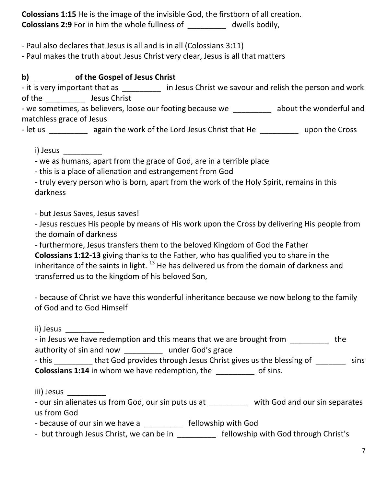**Colossians 1:15** He is the image of the invisible God, the firstborn of all creation. **Colossians 2:9** For in him the whole fullness of \_\_\_\_\_\_\_\_\_ dwells bodily,

- Paul also declares that Jesus is all and is in all (Colossians 3:11)

- Paul makes the truth about Jesus Christ very clear, Jesus is all that matters

**b)** \_\_\_\_\_\_\_\_\_ **of the Gospel of Jesus Christ** 

- it is very important that as **Exercise 1 in Jesus Christ we savour and relish the person and work** of the \_\_\_\_\_\_\_\_\_ Jesus Christ

- we sometimes, as believers, loose our footing because we \_\_\_\_\_\_\_\_\_ about the wonderful and matchless grace of Jesus

- let us \_\_\_\_\_\_\_\_\_\_ again the work of the Lord Jesus Christ that He \_\_\_\_\_\_\_\_\_\_\_ upon the Cross

i) Jesus \_\_\_\_\_\_\_\_\_

- we as humans, apart from the grace of God, are in a terrible place

- this is a place of alienation and estrangement from God

- truly every person who is born, apart from the work of the Holy Spirit, remains in this darkness

- but Jesus Saves, Jesus saves!

- Jesus rescues His people by means of His work upon the Cross by delivering His people from the domain of darkness

- furthermore, Jesus transfers them to the beloved Kingdom of God the Father

**Colossians 1:12-13** giving thanks to the Father, who has qualified you to share in the inheritance of the saints in light.  $^{13}$  He has delivered us from the domain of darkness and transferred us to the kingdom of his beloved Son,

- because of Christ we have this wonderful inheritance because we now belong to the family of God and to God Himself

ii) Jesus \_\_\_\_\_\_\_\_\_

| - in Jesus we have redemption and this means that we are brought from |                   | the |
|-----------------------------------------------------------------------|-------------------|-----|
| authority of sin and now                                              | under God's grace |     |

- this \_\_\_\_\_\_\_\_\_ that God provides through Jesus Christ gives us the blessing of \_\_\_\_\_\_\_\_ sins **Colossians 1:14** in whom we have redemption, the \_\_\_\_\_\_\_\_\_ of sins.

iii) Jesus \_\_\_\_\_\_\_\_\_

- our sin alienates us from God, our sin puts us at each with God and our sin separates us from God

- because of our sin we have a \_\_\_\_\_\_\_\_\_\_ fellowship with God

- but through Jesus Christ, we can be in \_\_\_\_\_\_\_\_\_\_ fellowship with God through Christ's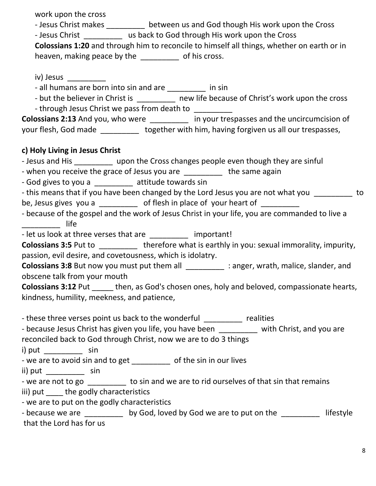work upon the cross

- Jesus Christ makes \_\_\_\_\_\_\_\_\_\_ between us and God though His work upon the Cross

- Jesus Christ \_\_\_\_\_\_\_\_\_ us back to God through His work upon the Cross

**Colossians 1:20** and through him to reconcile to himself all things, whether on earth or in heaven, making peace by the \_\_\_\_\_\_\_\_\_ of his cross.

iv) Jesus

- all humans are born into sin and are \_\_\_\_\_\_\_\_\_ in sin

- but the believer in Christ is **the contact of christ's work upon the cross** 

- through Jesus Christ we pass from death to

**Colossians 2:13** And you, who were \_\_\_\_\_\_\_\_\_ in your trespasses and the uncircumcision of your flesh, God made **together with him, having forgiven us all our trespasses**,

### **c) Holy Living in Jesus Christ**

- Jesus and His **Exercise 20** upon the Cross changes people even though they are sinful

- when you receive the grace of Jesus you are \_\_\_\_\_\_\_\_\_ the same again

- God gives to you a \_\_\_\_\_\_\_\_\_ attitude towards sin
- this means that if you have been changed by the Lord Jesus you are not what you controlled by to be, Jesus gives you a \_\_\_\_\_\_\_\_\_\_ of flesh in place of your heart of \_\_\_\_\_
- because of the gospel and the work of Jesus Christ in your life, you are commanded to live a  $\blacksquare$

- let us look at three verses that are \_\_\_\_\_\_\_\_\_\_\_ important!

**Colossians 3:5** Put to therefore what is earthly in you: sexual immorality, impurity, passion, evil desire, and covetousness, which is idolatry.

**Colossians 3:8** But now you must put them all \_\_\_\_\_\_\_\_\_ : anger, wrath, malice, slander, and obscene talk from your mouth

**Colossians 3:12** Put \_\_\_\_\_ then, as God's chosen ones, holy and beloved, compassionate hearts, kindness, humility, meekness, and patience,

- these three verses point us back to the wonderful \_\_\_\_\_\_\_\_\_ realities

| - because Jesus Christ has given you life, you have been         | with Christ, and you are |
|------------------------------------------------------------------|--------------------------|
| reconciled back to God through Christ, now we are to do 3 things |                          |

i) put sin

- we are to avoid sin and to get \_\_\_\_\_\_\_\_\_\_ of the sin in our lives

ii) put sin

- we are not to go \_\_\_\_\_\_\_\_\_\_ to sin and we are to rid ourselves of that sin that remains iii) put the godly characteristics

- we are to put on the godly characteristics

| - because we are         | by God, loved by God we are to put on the | lifestyle |
|--------------------------|-------------------------------------------|-----------|
| that the Lord has for us |                                           |           |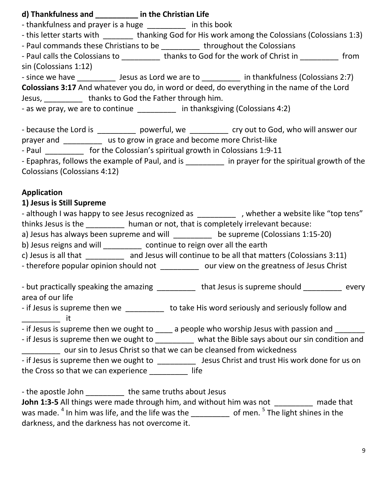| d) Thankfulness and ____________ in the Christian Life                      |                                                                                                    |
|-----------------------------------------------------------------------------|----------------------------------------------------------------------------------------------------|
| - thankfulness and prayer is a huge __________ in this book                 |                                                                                                    |
|                                                                             | - this letter starts with ________ thanking God for His work among the Colossians (Colossians 1:3) |
| - Paul commands these Christians to be __________ throughout the Colossians |                                                                                                    |
|                                                                             | - Paul calls the Colossians to <b>thanks to God for the work of Christ in</b>                      |
| sin (Colossians 1:12)                                                       |                                                                                                    |
|                                                                             | - since we have _____________ Jesus as Lord we are to ___________ in thankfulness (Colossians 2:7) |
|                                                                             | <b>Colossians 3:17</b> And whatever you do, in word or deed, do everything in the name of the Lord |
| Jesus, ____________ thanks to God the Father through him.                   |                                                                                                    |
| - as we pray, we are to continue _________ in thanksgiving (Colossians 4:2) |                                                                                                    |
|                                                                             |                                                                                                    |
|                                                                             | - because the Lord is ____________ powerful, we ___________ cry out to God, who will answer our    |

| prayer and | us to grow in grace and become more Christ-like |
|------------|-------------------------------------------------|
|------------|-------------------------------------------------|

- Paul \_\_\_\_\_\_\_\_\_ for the Colossian's spiritual growth in Colossians 1:9-11

- Epaphras, follows the example of Paul, and is \_\_\_\_\_\_\_\_\_\_ in prayer for the spiritual growth of the Colossians (Colossians 4:12)

#### **Application**

#### **1) Jesus is Still Supreme**

- although I was happy to see Jesus recognized as \_\_\_\_\_\_\_\_\_\_\_, whether a website like "top tens" thinks Jesus is the \_\_\_\_\_\_\_\_\_ human or not, that is completely irrelevant because:

a) Jesus has always been supreme and will electronic be supreme (Colossians 1:15-20)

b) Jesus reigns and will \_\_\_\_\_\_\_\_\_\_ continue to reign over all the earth

c) Jesus is all that \_\_\_\_\_\_\_\_\_ and Jesus will continue to be all that matters (Colossians 3:11)

- therefore popular opinion should not \_\_\_\_\_\_\_\_\_\_\_ our view on the greatness of Jesus Christ

- but practically speaking the amazing \_\_\_\_\_\_\_\_\_\_ that Jesus is supreme should \_\_\_\_\_\_\_\_ every area of our life

- if Jesus is supreme then we **Land is to take His word seriously and seriously follow and**  $\qquad \qquad$  it

- if Jesus is supreme then we ought to \_\_\_\_\_ a people who worship Jesus with passion and \_\_\_\_\_\_\_

- if Jesus is supreme then we ought to \_\_\_\_\_\_\_\_\_ what the Bible says about our sin condition and **EXECUTE:** OUT SIN to Jesus Christ so that we can be cleansed from wickedness

- if Jesus is supreme then we ought to \_\_\_\_\_\_\_\_\_\_\_\_ Jesus Christ and trust His work done for us on the Cross so that we can experience \_\_\_\_\_\_\_\_\_ life

- the apostle John **the same truths about Jesus** 

**John 1:3-5** All things were made through him, and without him was not made that was made.  $^4$  In him was life, and the life was the  $\_\_\_\_\_\_\_$  of men.  $^5$  The light shines in the darkness, and the darkness has not overcome it.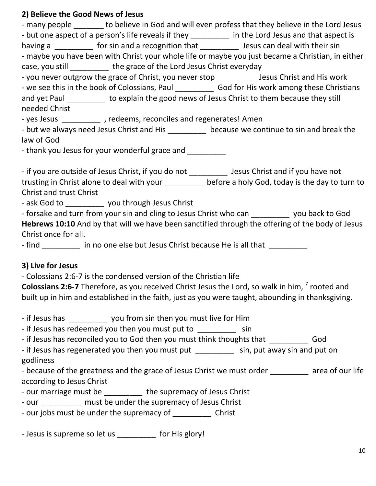#### **2) Believe the Good News of Jesus**

- many people to believe in God and will even profess that they believe in the Lord Jesus - but one aspect of a person's life reveals if they \_\_\_\_\_\_\_\_\_\_\_ in the Lord Jesus and that aspect is having a Theoretic sin and a recognition that Theoretic Secure for sin having a second for sin having a second - maybe you have been with Christ your whole life or maybe you just became a Christian, in either case, you still \_\_\_\_\_\_\_\_\_\_ the grace of the Lord Jesus Christ everyday - you never outgrow the grace of Christ, you never stop \_\_\_\_\_\_\_\_\_ Jesus Christ and His work - we see this in the book of Colossians, Paul God for His work among these Christians and yet Paul \_\_\_\_\_\_\_\_\_ to explain the good news of Jesus Christ to them because they still needed Christ - yes Jesus \_\_\_\_\_\_\_\_\_\_\_ , redeems, reconciles and regenerates! Amen - but we always need Jesus Christ and His \_\_\_\_\_\_\_\_\_\_ because we continue to sin and break the law of God - thank you Jesus for your wonderful grace and - if you are outside of Jesus Christ, if you do not \_\_\_\_\_\_\_\_\_ Jesus Christ and if you have not trusting in Christ alone to deal with your \_\_\_\_\_\_\_\_\_\_\_ before a holy God, today is the day to turn to Christ and trust Christ - ask God to **you through Jesus Christ** - forsake and turn from your sin and cling to Jesus Christ who can \_\_\_\_\_\_\_\_\_ you back to God **Hebrews 10:10** And by that will we have been sanctified through the offering of the body of Jesus Christ once for all. - find **the inumum of the same of the set one else but Jesus Christ because He is all that 3) Live for Jesus**  - Colossians 2:6-7 is the condensed version of the Christian life **Colossians 2:6-7** Therefore, as you received Christ Jesus the Lord, so walk in him, <sup>7</sup> rooted and built up in him and established in the faith, just as you were taught, abounding in thanksgiving. - if Jesus has **the you from sin then you must live for Him** - if Jesus has redeemed you then you must put to sin - if Jesus has reconciled you to God then you must think thoughts that \_\_\_\_\_\_\_\_\_ God - if Jesus has regenerated you then you must put \_\_\_\_\_\_\_\_\_\_\_ sin, put away sin and put on godliness - because of the greatness and the grace of Jesus Christ we must order \_\_\_\_\_\_\_\_ area of our life according to Jesus Christ - our marriage must be the supremacy of Jesus Christ - our must be under the supremacy of Jesus Christ - our jobs must be under the supremacy of Christ - Jesus is supreme so let us \_\_\_\_\_\_\_\_ for His glory!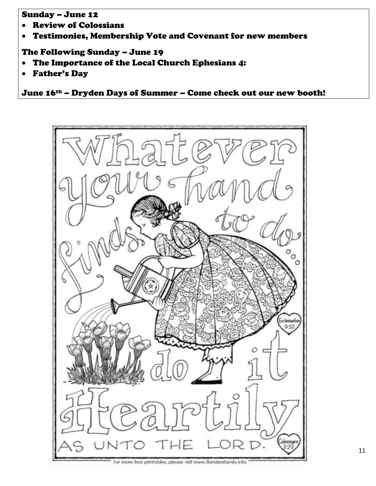#### Sunday – June 12

- Review of Colossians
- Testimonies, Membership Vote and Covenant for new members

#### The Following Sunday – June 19

- The Importance of the Local Church Ephesians 4:
- Father's Day

June 16th – Dryden Days of Summer – Come check out our new booth!